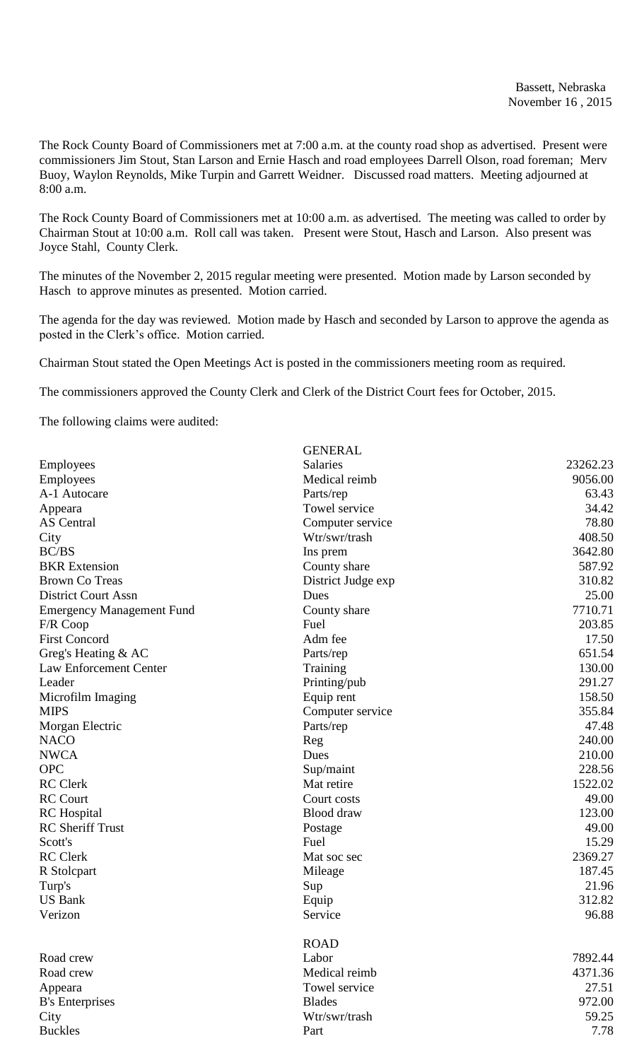The Rock County Board of Commissioners met at 7:00 a.m. at the county road shop as advertised. Present were commissioners Jim Stout, Stan Larson and Ernie Hasch and road employees Darrell Olson, road foreman; Merv Buoy, Waylon Reynolds, Mike Turpin and Garrett Weidner. Discussed road matters. Meeting adjourned at 8:00 a.m.

The Rock County Board of Commissioners met at 10:00 a.m. as advertised. The meeting was called to order by Chairman Stout at 10:00 a.m. Roll call was taken. Present were Stout, Hasch and Larson. Also present was Joyce Stahl, County Clerk.

The minutes of the November 2, 2015 regular meeting were presented. Motion made by Larson seconded by Hasch to approve minutes as presented. Motion carried.

The agenda for the day was reviewed. Motion made by Hasch and seconded by Larson to approve the agenda as posted in the Clerk's office. Motion carried.

GENERAL

Chairman Stout stated the Open Meetings Act is posted in the commissioners meeting room as required.

The commissioners approved the County Clerk and Clerk of the District Court fees for October, 2015.

The following claims were audited:

|                                  | ULINLINAL          |          |
|----------------------------------|--------------------|----------|
| Employees                        | Salaries           | 23262.23 |
| Employees                        | Medical reimb      | 9056.00  |
| A-1 Autocare                     | Parts/rep          | 63.43    |
| Appeara                          | Towel service      | 34.42    |
| <b>AS</b> Central                | Computer service   | 78.80    |
| City                             | Wtr/swr/trash      | 408.50   |
| <b>BC/BS</b>                     | Ins prem           | 3642.80  |
| <b>BKR</b> Extension             | County share       | 587.92   |
| <b>Brown Co Treas</b>            | District Judge exp | 310.82   |
| <b>District Court Assn</b>       | Dues               | 25.00    |
| <b>Emergency Management Fund</b> | County share       | 7710.71  |
| F/R Coop                         | Fuel               | 203.85   |
| <b>First Concord</b>             | Adm fee            | 17.50    |
| Greg's Heating & AC              | Parts/rep          | 651.54   |
| <b>Law Enforcement Center</b>    | Training           | 130.00   |
| Leader                           | Printing/pub       | 291.27   |
| Microfilm Imaging                | Equip rent         | 158.50   |
| <b>MIPS</b>                      | Computer service   | 355.84   |
| Morgan Electric                  | Parts/rep          | 47.48    |
| <b>NACO</b>                      | Reg                | 240.00   |
| <b>NWCA</b>                      | Dues               | 210.00   |
| <b>OPC</b>                       | Sup/maint          | 228.56   |
| <b>RC</b> Clerk                  | Mat retire         | 1522.02  |
| <b>RC</b> Court                  | Court costs        | 49.00    |
| <b>RC</b> Hospital               | <b>Blood</b> draw  | 123.00   |
| <b>RC</b> Sheriff Trust          | Postage            | 49.00    |
| Scott's                          | Fuel               | 15.29    |
| <b>RC</b> Clerk                  | Mat soc sec        | 2369.27  |
| R Stolcpart                      | Mileage            | 187.45   |
| Turp's                           | Sup                | 21.96    |
| <b>US Bank</b>                   | Equip              | 312.82   |
| Verizon                          | Service            | 96.88    |
|                                  |                    |          |
|                                  | <b>ROAD</b>        |          |
| Road crew                        | Labor              | 7892.44  |
| Road crew                        | Medical reimb      | 4371.36  |
| Appeara                          | Towel service      | 27.51    |
| <b>B's Enterprises</b>           | <b>Blades</b>      | 972.00   |
| City                             | Wtr/swr/trash      | 59.25    |
| <b>Buckles</b>                   | Part               | 7.78     |